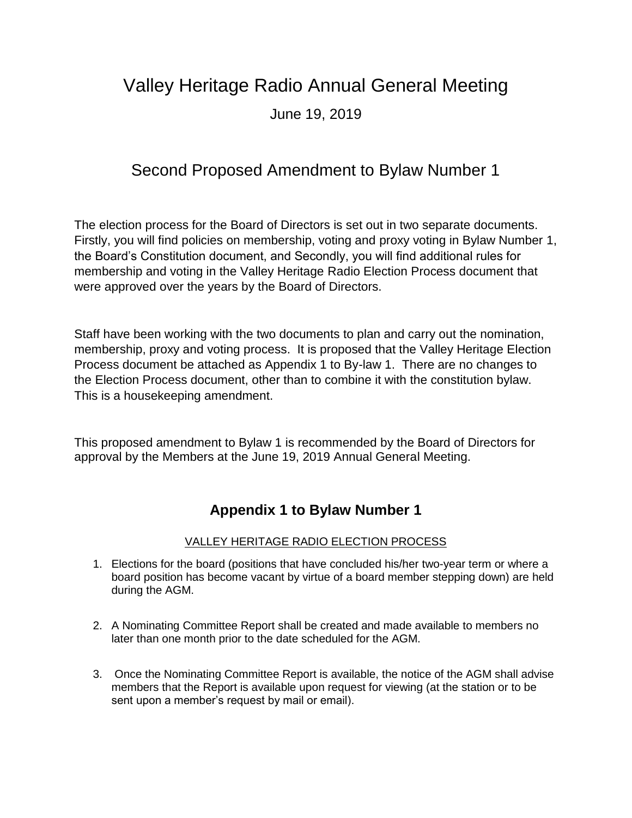## Valley Heritage Radio Annual General Meeting

June 19, 2019

## Second Proposed Amendment to Bylaw Number 1

The election process for the Board of Directors is set out in two separate documents. Firstly, you will find policies on membership, voting and proxy voting in Bylaw Number 1, the Board's Constitution document, and Secondly, you will find additional rules for membership and voting in the Valley Heritage Radio Election Process document that were approved over the years by the Board of Directors.

Staff have been working with the two documents to plan and carry out the nomination, membership, proxy and voting process. It is proposed that the Valley Heritage Election Process document be attached as Appendix 1 to By-law 1. There are no changes to the Election Process document, other than to combine it with the constitution bylaw. This is a housekeeping amendment.

This proposed amendment to Bylaw 1 is recommended by the Board of Directors for approval by the Members at the June 19, 2019 Annual General Meeting.

## **Appendix 1 to Bylaw Number 1**

## VALLEY HERITAGE RADIO ELECTION PROCESS

- 1. Elections for the board (positions that have concluded his/her two-year term or where a board position has become vacant by virtue of a board member stepping down) are held during the AGM.
- 2. A Nominating Committee Report shall be created and made available to members no later than one month prior to the date scheduled for the AGM.
- 3. Once the Nominating Committee Report is available, the notice of the AGM shall advise members that the Report is available upon request for viewing (at the station or to be sent upon a member's request by mail or email).